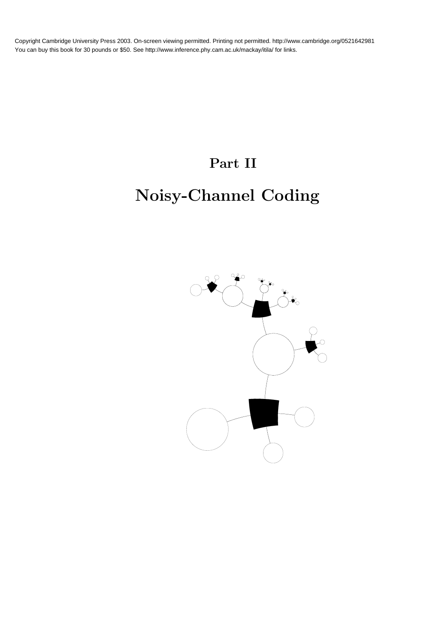# Part II

# Noisy-Channel Coding

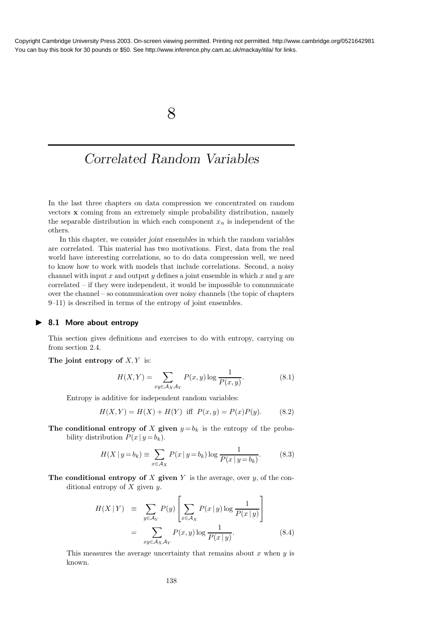8

## Correlated Random Variables

In the last three chapters on data compression we concentrated on random vectors x coming from an extremely simple probability distribution, namely the separable distribution in which each component  $x_n$  is independent of the others.

In this chapter, we consider joint ensembles in which the random variables are correlated. This material has two motivations. First, data from the real world have interesting correlations, so to do data compression well, we need to know how to work with models that include correlations. Second, a noisy channel with input x and output y defines a joint ensemble in which x and y are correlated – if they were independent, it would be impossible to communicate over the channel – so communication over noisy channels (the topic of chapters 9–11) is described in terms of the entropy of joint ensembles.

#### ▶ 8.1 More about entropy

This section gives definitions and exercises to do with entropy, carrying on from section 2.4.

The joint entropy of  $X, Y$  is:

$$
H(X,Y) = \sum_{xy \in \mathcal{A}_X \mathcal{A}_Y} P(x,y) \log \frac{1}{P(x,y)}.\tag{8.1}
$$

Entropy is additive for independent random variables:

$$
H(X,Y) = H(X) + H(Y) \text{ iff } P(x,y) = P(x)P(y). \tag{8.2}
$$

The conditional entropy of X given  $y = b_k$  is the entropy of the probability distribution  $P(x | y = b_k)$ .

$$
H(X \mid y = b_k) \equiv \sum_{x \in \mathcal{A}_X} P(x \mid y = b_k) \log \frac{1}{P(x \mid y = b_k)}.
$$
 (8.3)

The conditional entropy of X given  $Y$  is the average, over  $y$ , of the conditional entropy of  $X$  given  $y$ .

$$
H(X|Y) \equiv \sum_{y \in A_Y} P(y) \left[ \sum_{x \in A_X} P(x|y) \log \frac{1}{P(x|y)} \right]
$$
  

$$
= \sum_{xy \in A_X A_Y} P(x,y) \log \frac{1}{P(x|y)}.
$$
 (8.4)

This measures the average uncertainty that remains about  $x$  when  $y$  is known.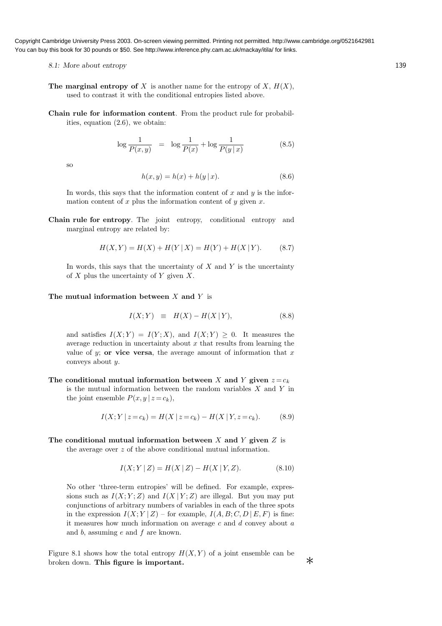- 8.1: More about entropy 139
- The marginal entropy of X is another name for the entropy of  $X$ ,  $H(X)$ , used to contrast it with the conditional entropies listed above.
- Chain rule for information content. From the product rule for probabilities, equation (2.6), we obtain:

$$
\log \frac{1}{P(x,y)} = \log \frac{1}{P(x)} + \log \frac{1}{P(y|x)}
$$
(8.5)

so

$$
h(x, y) = h(x) + h(y | x).
$$
 (8.6)

In words, this says that the information content of  $x$  and  $y$  is the information content of x plus the information content of y given  $x$ .

Chain rule for entropy. The joint entropy, conditional entropy and marginal entropy are related by:

$$
H(X,Y) = H(X) + H(Y | X) = H(Y) + H(X | Y).
$$
 (8.7)

In words, this says that the uncertainty of  $X$  and  $Y$  is the uncertainty of  $X$  plus the uncertainty of  $Y$  given  $X$ .

#### The mutual information between  $X$  and  $Y$  is

$$
I(X;Y) \equiv H(X) - H(X|Y), \tag{8.8}
$$

and satisfies  $I(X;Y) = I(Y;X)$ , and  $I(X;Y) > 0$ . It measures the average reduction in uncertainty about  $x$  that results from learning the value of y; or vice versa, the average amount of information that  $x$ conveys about y.

The conditional mutual information between X and Y given  $z = c_k$ is the mutual information between the random variables  $X$  and  $Y$  in the joint ensemble  $P(x, y | z = c_k)$ ,

$$
I(X; Y | z = c_k) = H(X | z = c_k) - H(X | Y, z = c_k).
$$
 (8.9)

The conditional mutual information between X and Y given  $Z$  is the average over z of the above conditional mutual information.

$$
I(X; Y | Z) = H(X | Z) - H(X | Y, Z).
$$
 (8.10)

No other 'three-term entropies' will be defined. For example, expressions such as  $I(X; Y; Z)$  and  $I(X | Y; Z)$  are illegal. But you may put conjunctions of arbitrary numbers of variables in each of the three spots in the expression  $I(X; Y | Z)$  – for example,  $I(A, B; C, D | E, F)$  is fine: it measures how much information on average  $c$  and  $d$  convey about  $a$ and b, assuming e and f are known.

Figure 8.1 shows how the total entropy  $H(X, Y)$  of a joint ensemble can be broken down. This figure is important.  $*$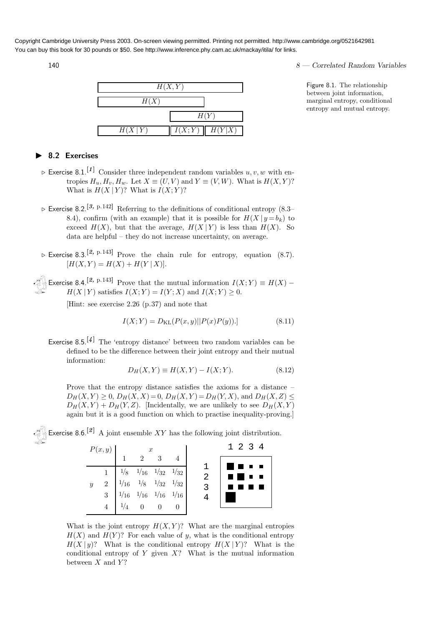

### $140$   $8$  — Correlated Random Variables

Figure 8.1. The relationship between joint information, marginal entropy, conditional entropy and mutual entropy.

#### ▶ 8.2 Exercises

- $\triangleright$  Exercise 8.1.<sup>[1]</sup> Consider three independent random variables  $u, v, w$  with entropies  $H_u, H_v, H_w$ . Let  $X \equiv (U, V)$  and  $Y \equiv (V, W)$ . What is  $H(X, Y)$ ? What is  $H(X | Y)$ ? What is  $I(X; Y)$ ?
- $\triangleright$  Exercise 8.2.<sup>[3, p.142]</sup> Referring to the definitions of conditional entropy (8.3– 8.4), confirm (with an example) that it is possible for  $H(X | y = b_k)$  to exceed  $H(X)$ , but that the average,  $H(X|Y)$  is less than  $H(X)$ . So data are helpful – they do not increase uncertainty, on average.
- $\triangleright$  Exercise 8.3.<sup>[2, p.143]</sup> Prove the chain rule for entropy, equation (8.7).  $[H(X, Y) = H(X) + H(Y | X)].$

Exercise 8.4.<sup>[2, p.143]</sup> Prove that the mutual information  $I(X;Y) \equiv H(X)$  –  $H(X | Y)$  satisfies  $I(X; Y) = I(Y; X)$  and  $I(X; Y) \geq 0$ .

[Hint: see exercise 2.26 (p.37) and note that

$$
I(X;Y) = D_{\text{KL}}(P(x,y)||P(x)P(y)).
$$
\n(8.11)

Exercise 8.5.<sup>[4]</sup> The 'entropy distance' between two random variables can be defined to be the difference between their joint entropy and their mutual information:

$$
D_H(X, Y) \equiv H(X, Y) - I(X; Y). \tag{8.12}
$$

Prove that the entropy distance satisfies the axioms for a distance –  $D_H(X, Y) \geq 0$ ,  $D_H(X, X) = 0$ ,  $D_H(X, Y) = D_H(Y, X)$ , and  $D_H(X, Z) \leq$  $D_H(X, Y) + D_H(Y, Z)$ . [Incidentally, we are unlikely to see  $D_H(X, Y)$ again but it is a good function on which to practise inequality-proving.]

Exercise 8.6.<sup>[2]</sup> A joint ensemble  $XY$  has the following joint distribution.

|  | $P(x,y)$ $\begin{array}{ccc} 1 & x \\ 1 & 2 \end{array}$ |  |                                                                                                                                                                   |  | 1234 |                  |  |
|--|----------------------------------------------------------|--|-------------------------------------------------------------------------------------------------------------------------------------------------------------------|--|------|------------------|--|
|  |                                                          |  |                                                                                                                                                                   |  |      | <b>THE R. P.</b> |  |
|  |                                                          |  | $\begin{tabular}{c cccccc} 1 & 1/8 & 1/16 & 1/32 & 1/32 \\ 2 & 1/16 & 1/8 & 1/32 & 1/32 \\ 3 & 1/16 & 1/16 & 1/16 & 1/16 \\ 4 & 1/4 & 0 & 0 & 0 \\ \end{tabular}$ |  | 2    |                  |  |
|  |                                                          |  |                                                                                                                                                                   |  |      |                  |  |
|  |                                                          |  |                                                                                                                                                                   |  |      |                  |  |
|  |                                                          |  |                                                                                                                                                                   |  |      |                  |  |
|  |                                                          |  |                                                                                                                                                                   |  |      |                  |  |

What is the joint entropy  $H(X, Y)$ ? What are the marginal entropies  $H(X)$  and  $H(Y)$ ? For each value of y, what is the conditional entropy  $H(X | y)$ ? What is the conditional entropy  $H(X | Y)$ ? What is the conditional entropy of  $Y$  given  $X$ ? What is the mutual information between  $X$  and  $Y$ ?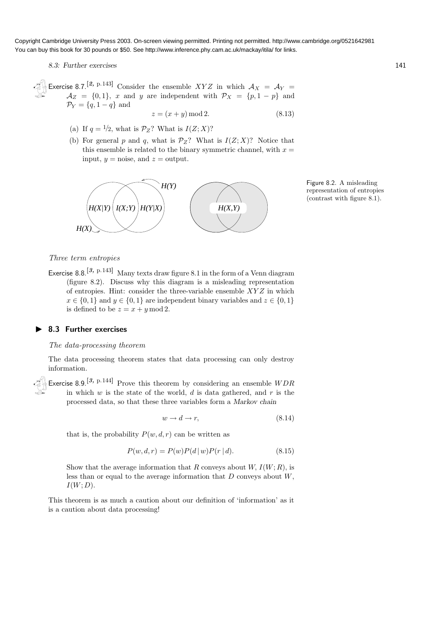8.3: Further exercises 141

Exercise 8.7.<sup>[2, p.143]</sup> Consider the ensemble XYZ in which  $A_X = A_Y =$  $\mathcal{A}_Z = \{0, 1\}, \; x \text{ and } y \text{ are independent with } \mathcal{P}_X = \{p, 1-p\} \text{ and }$  $\mathcal{P}_Y = \{q, 1-q\}$  and

$$
z = (x + y) \operatorname{mod} 2. \tag{8.13}
$$

- (a) If  $q = \frac{1}{2}$ , what is  $\mathcal{P}_Z$ ? What is  $I(Z; X)$ ?
- (b) For general p and q, what is  $\mathcal{P}_Z$ ? What is  $I(Z; X)$ ? Notice that this ensemble is related to the binary symmetric channel, with  $x =$ input,  $y = \text{noise}$ , and  $z = \text{output}$ .



Figure 8.2. A misleading representation of entropies (contrast with figure 8.1).

#### Three term entropies

Exercise 8.8.<sup>[3, p.143]</sup> Many texts draw figure 8.1 in the form of a Venn diagram (figure 8.2). Discuss why this diagram is a misleading representation of entropies. Hint: consider the three-variable ensemble  $XYZ$  in which  $x \in \{0, 1\}$  and  $y \in \{0, 1\}$  are independent binary variables and  $z \in \{0, 1\}$ is defined to be  $z = x + y \mod 2$ .

#### ▶ 8.3 Further exercises

#### The data-processing theorem

The data processing theorem states that data processing can only destroy information.

Exercise 8.9.<sup>[3, p.144]</sup> Prove this theorem by considering an ensemble  $WDR$ in which  $w$  is the state of the world,  $d$  is data gathered, and  $r$  is the processed data, so that these three variables form a Markov chain

$$
w \to d \to r,\tag{8.14}
$$

that is, the probability  $P(w, d, r)$  can be written as

$$
P(w, d, r) = P(w)P(d | w)P(r | d).
$$
\n(8.15)

Show that the average information that R conveys about  $W, I(W; R)$ , is less than or equal to the average information that  $D$  conveys about  $W$ ,  $I(W; D)$ .

This theorem is as much a caution about our definition of 'information' as it is a caution about data processing!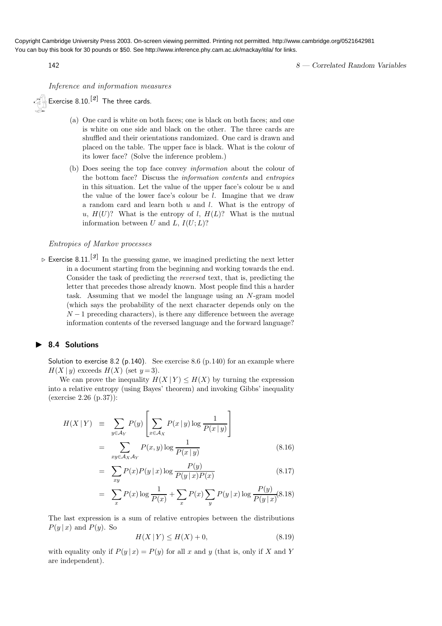142 **8** — Correlated Random Variables

Inference and information measures

 $\mathscr{L}_{\beta}$  Exercise 8.10.<sup>[2]</sup> The three cards.

- (a) One card is white on both faces; one is black on both faces; and one is white on one side and black on the other. The three cards are shuffled and their orientations randomized. One card is drawn and placed on the table. The upper face is black. What is the colour of its lower face? (Solve the inference problem.)
- (b) Does seeing the top face convey information about the colour of the bottom face? Discuss the information contents and entropies in this situation. Let the value of the upper face's colour be  $u$  and the value of the lower face's colour be l. Imagine that we draw a random card and learn both u and l. What is the entropy of u,  $H(U)$ ? What is the entropy of l,  $H(L)$ ? What is the mutual information between U and L,  $I(U;L)$ ?

#### Entropies of Markov processes

 $\triangleright$  Exercise 8.11.<sup>[3]</sup> In the guessing game, we imagined predicting the next letter in a document starting from the beginning and working towards the end. Consider the task of predicting the reversed text, that is, predicting the letter that precedes those already known. Most people find this a harder task. Assuming that we model the language using an N-gram model (which says the probability of the next character depends only on the  $N-1$  preceding characters), is there any difference between the average information contents of the reversed language and the forward language?

#### ▶ 8.4 Solutions

Solution to exercise 8.2 (p.140). See exercise 8.6 (p.140) for an example where  $H(X | y)$  exceeds  $H(X)$  (set  $y=3$ ).

We can prove the inequality  $H(X | Y) \leq H(X)$  by turning the expression into a relative entropy (using Bayes' theorem) and invoking Gibbs' inequality (exercise 2.26 (p.37)):

$$
H(X|Y) \equiv \sum_{y \in A_Y} P(y) \left[ \sum_{x \in A_X} P(x|y) \log \frac{1}{P(x|y)} \right]
$$
  

$$
= \sum_{xy \in A_X A_Y} P(x,y) \log \frac{1}{P(x|y)} \qquad (8.16)
$$

$$
= \sum_{xy} P(x)P(y|x)\log\frac{P(y)}{P(y|x)P(x)}
$$
\n(8.17)

$$
= \sum_{x} P(x) \log \frac{1}{P(x)} + \sum_{x} P(x) \sum_{y} P(y | x) \log \frac{P(y)}{P(y | x)} (8.18)
$$

The last expression is a sum of relative entropies between the distributions  $P(y | x)$  and  $P(y)$ . So

$$
H(X | Y) \le H(X) + 0,\t(8.19)
$$

with equality only if  $P(y | x) = P(y)$  for all x and y (that is, only if X and Y are independent).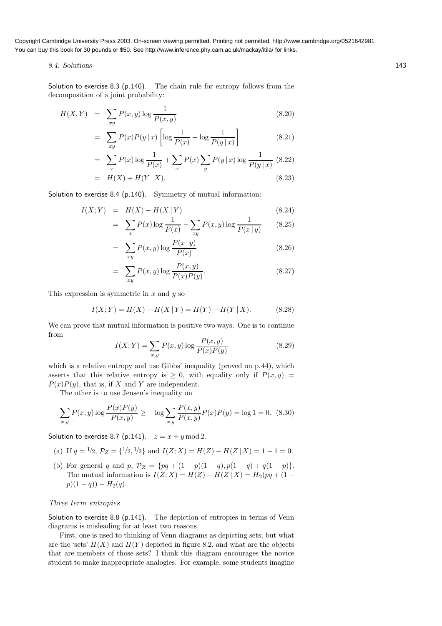#### 8.4: Solutions 143

Solution to exercise 8.3 (p.140). The chain rule for entropy follows from the decomposition of a joint probability:

$$
H(X,Y) = \sum_{xy} P(x,y) \log \frac{1}{P(x,y)} \tag{8.20}
$$

$$
= \sum_{xy} P(x)P(y|x) \left[ \log \frac{1}{P(x)} + \log \frac{1}{P(y|x)} \right]
$$
(8.21)

$$
= \sum_{x} P(x) \log \frac{1}{P(x)} + \sum_{x} P(x) \sum_{y} P(y | x) \log \frac{1}{P(y | x)} (8.22)
$$

$$
= H(X) + H(Y | X). \tag{8.23}
$$

Solution to exercise 8.4 (p.140). Symmetry of mutual information:

$$
I(X;Y) = H(X) - H(X|Y)
$$
\n
$$
\sum P(x) \log \frac{1}{1} \sum P(x) \log \frac{1}{1} \tag{8.24}
$$

$$
= \sum_{x} P(x) \log \frac{1}{P(x)} - \sum_{xy} P(x, y) \log \frac{1}{P(x \mid y)}
$$
(8.25)

$$
= \sum_{xy} P(x,y) \log \frac{P(x|y)}{P(x)}
$$
\n(8.26)

$$
= \sum_{xy} P(x,y) \log \frac{P(x,y)}{P(x)P(y)}.\tag{8.27}
$$

This expression is symmetric in  $x$  and  $y$  so

$$
I(X;Y) = H(X) - H(X | Y) = H(Y) - H(Y | X).
$$
 (8.28)

We can prove that mutual information is positive two ways. One is to continue from

$$
I(X;Y) = \sum_{x,y} P(x,y) \log \frac{P(x,y)}{P(x)P(y)}
$$
(8.29)

which is a relative entropy and use Gibbs' inequality (proved on p.44), which asserts that this relative entropy is  $\geq 0$ , with equality only if  $P(x, y)$  $P(x)P(y)$ , that is, if X and Y are independent.

The other is to use Jensen's inequality on

$$
\sum_{x,y} P(x,y) \log \frac{P(x)P(y)}{P(x,y)} \ge -\log \sum_{x,y} \frac{P(x,y)}{P(x,y)} P(x)P(y) = \log 1 = 0. \tag{8.30}
$$

Solution to exercise 8.7 (p.141).  $z = x + y \mod 2$ .

(a) If 
$$
q = 1/2
$$
,  $\mathcal{P}_Z = \{1/2, 1/2\}$  and  $I(Z; X) = H(Z) - H(Z | X) = 1 - 1 = 0$ .

(b) For general q and p,  $\mathcal{P}_Z = \{pq + (1-p)(1-q), p(1-q) + q(1-p)\}.$ The mutual information is  $I(Z; X) = H(Z) - H(Z | X) = H_2(pq + (1$  $p(1 - q) - H_2(q)$ .

#### Three term entropies

−

Solution to exercise 8.8 (p.141). The depiction of entropies in terms of Venn diagrams is misleading for at least two reasons.

First, one is used to thinking of Venn diagrams as depicting sets; but what are the 'sets'  $H(X)$  and  $H(Y)$  depicted in figure 8.2, and what are the objects that are members of those sets? I think this diagram encourages the novice student to make inappropriate analogies. For example, some students imagine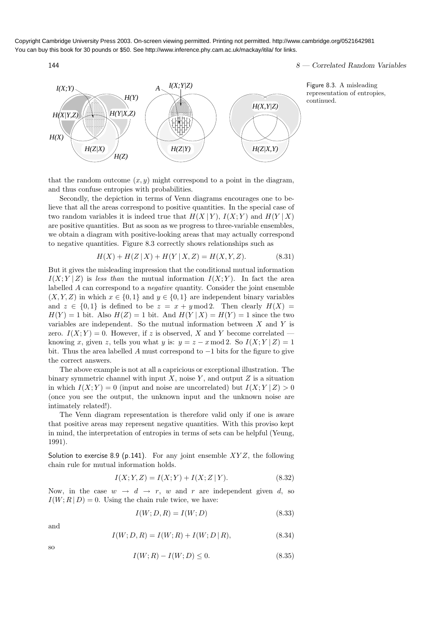$144$  8 — Correlated Random Variables



Figure 8.3. A misleading representation of entropies, continued.

that the random outcome  $(x, y)$  might correspond to a point in the diagram, and thus confuse entropies with probabilities.

Secondly, the depiction in terms of Venn diagrams encourages one to believe that all the areas correspond to positive quantities. In the special case of two random variables it is indeed true that  $H(X | Y)$ ,  $I(X; Y)$  and  $H(Y | X)$ are positive quantities. But as soon as we progress to three-variable ensembles, we obtain a diagram with positive-looking areas that may actually correspond to negative quantities. Figure 8.3 correctly shows relationships such as

$$
H(X) + H(Z | X) + H(Y | X, Z) = H(X, Y, Z).
$$
 (8.31)

But it gives the misleading impression that the conditional mutual information  $I(X; Y | Z)$  is less than the mutual information  $I(X; Y)$ . In fact the area labelled A can correspond to a negative quantity. Consider the joint ensemble  $(X, Y, Z)$  in which  $x \in \{0, 1\}$  and  $y \in \{0, 1\}$  are independent binary variables and  $z \in \{0,1\}$  is defined to be  $z = x + y \mod 2$ . Then clearly  $H(X) =$  $H(Y) = 1$  bit. Also  $H(Z) = 1$  bit. And  $H(Y | X) = H(Y) = 1$  since the two variables are independent. So the mutual information between  $X$  and  $Y$  is zero.  $I(X; Y) = 0$ . However, if z is observed, X and Y become correlated – knowing x, given z, tells you what y is:  $y = z - x \mod 2$ . So  $I(X;Y | Z) = 1$ bit. Thus the area labelled A must correspond to  $-1$  bits for the figure to give the correct answers.

The above example is not at all a capricious or exceptional illustration. The binary symmetric channel with input  $X$ , noise  $Y$ , and output  $Z$  is a situation in which  $I(X; Y) = 0$  (input and noise are uncorrelated) but  $I(X; Y | Z) > 0$ (once you see the output, the unknown input and the unknown noise are intimately related!).

The Venn diagram representation is therefore valid only if one is aware that positive areas may represent negative quantities. With this proviso kept in mind, the interpretation of entropies in terms of sets can be helpful (Yeung, 1991).

Solution to exercise 8.9 (p.141). For any joint ensemble  $XYZ$ , the following chain rule for mutual information holds.

$$
I(X; Y, Z) = I(X; Y) + I(X; Z | Y).
$$
\n(8.32)

Now, in the case  $w \rightarrow d \rightarrow r$ , w and r are independent given d, so  $I(W; R | D) = 0$ . Using the chain rule twice, we have:

$$
I(W; D, R) = I(W; D)
$$
\n
$$
(8.33)
$$

and

$$
I(W; D, R) = I(W; R) + I(W; D | R), \tag{8.34}
$$

$$
\overline{S}_0
$$

$$
I(W;R) - I(W;D) \le 0.
$$
\n(8.35)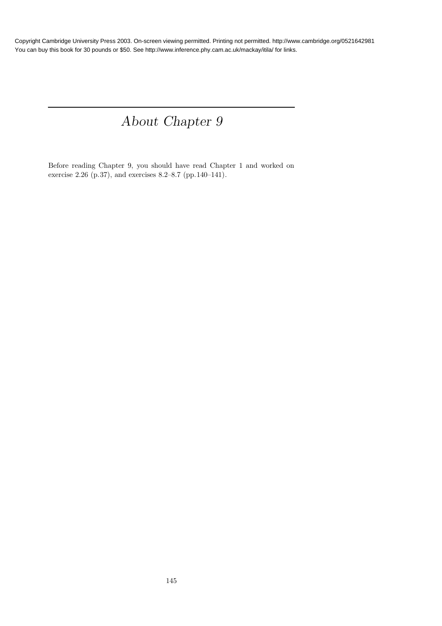# About Chapter 9

Before reading Chapter 9, you should have read Chapter 1 and worked on exercise 2.26 (p.37), and exercises 8.2–8.7 (pp.140–141).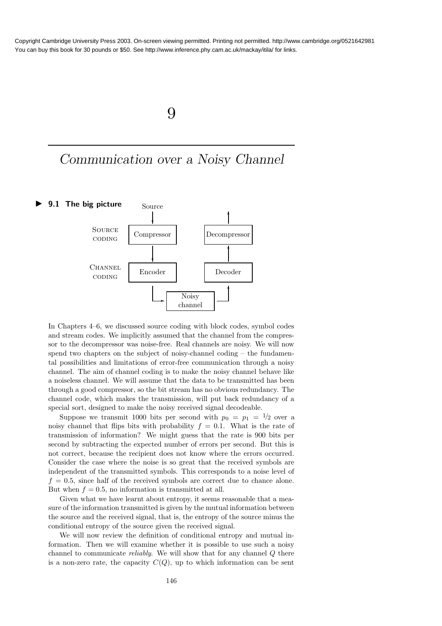### 9

## Communication over a Noisy Channel



In Chapters 4–6, we discussed source coding with block codes, symbol codes and stream codes. We implicitly assumed that the channel from the compressor to the decompressor was noise-free. Real channels are noisy. We will now spend two chapters on the subject of noisy-channel coding – the fundamental possibilities and limitations of error-free communication through a noisy channel. The aim of channel coding is to make the noisy channel behave like a noiseless channel. We will assume that the data to be transmitted has been through a good compressor, so the bit stream has no obvious redundancy. The channel code, which makes the transmission, will put back redundancy of a special sort, designed to make the noisy received signal decodeable.

Suppose we transmit 1000 bits per second with  $p_0 = p_1 = 1/2$  over a noisy channel that flips bits with probability  $f = 0.1$ . What is the rate of transmission of information? We might guess that the rate is 900 bits per second by subtracting the expected number of errors per second. But this is not correct, because the recipient does not know where the errors occurred. Consider the case where the noise is so great that the received symbols are independent of the transmitted symbols. This corresponds to a noise level of  $f = 0.5$ , since half of the received symbols are correct due to chance alone. But when  $f = 0.5$ , no information is transmitted at all.

Given what we have learnt about entropy, it seems reasonable that a measure of the information transmitted is given by the mutual information between the source and the received signal, that is, the entropy of the source minus the conditional entropy of the source given the received signal.

We will now review the definition of conditional entropy and mutual information. Then we will examine whether it is possible to use such a noisy channel to communicate reliably. We will show that for any channel Q there is a non-zero rate, the capacity  $C(Q)$ , up to which information can be sent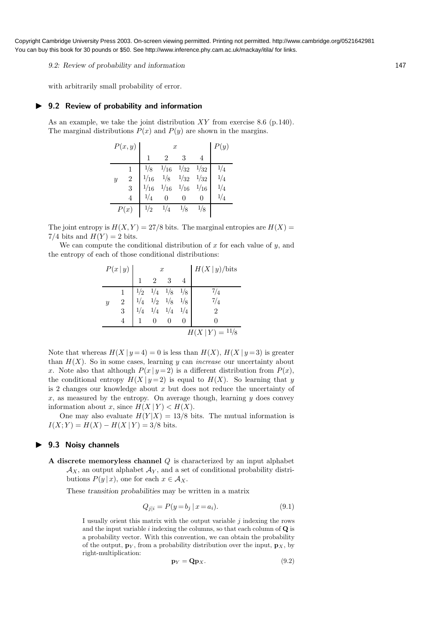9.2: Review of probability and information 147

with arbitrarily small probability of error.

#### ▶ 9.2 Review of probability and information

As an example, we take the joint distribution  $XY$  from exercise 8.6 (p.140). The marginal distributions  $P(x)$  and  $P(y)$  are shown in the margins.

| P(x,y)           |                |      | y)                                                                                                                                                                                                                    |               |   |                |
|------------------|----------------|------|-----------------------------------------------------------------------------------------------------------------------------------------------------------------------------------------------------------------------|---------------|---|----------------|
|                  |                |      |                                                                                                                                                                                                                       |               |   |                |
|                  |                |      | $\begin{array}{ccc} \frac{1}{8} & \frac{1}{16} & \frac{1}{32} & \frac{1}{32} \\ \frac{1}{16} & \frac{1}{8} & \frac{1}{32} & \frac{1}{32} \\ \frac{1}{16} & \frac{1}{16} & \frac{1}{16} & \frac{1}{16} \\ \end{array}$ |               |   | 1/4            |
| $\boldsymbol{y}$ | $\overline{2}$ | 1/16 |                                                                                                                                                                                                                       |               |   | 1/4            |
|                  |                |      |                                                                                                                                                                                                                       |               |   | $1\frac{1}{4}$ |
|                  |                | 1/4  |                                                                                                                                                                                                                       |               | O |                |
| P(x)             |                | 1/2  | 1/4                                                                                                                                                                                                                   | $\frac{1}{8}$ |   |                |

The joint entropy is  $H(X, Y) = 27/8$  bits. The marginal entropies are  $H(X) =$ 7/4 bits and  $H(Y) = 2$  bits.

We can compute the conditional distribution of  $x$  for each value of  $y$ , and the entropy of each of those conditional distributions:

| P(x y)           |                 | $\boldsymbol{x}$ |                                                                                    |  |  | $H(X y)/$ bits |
|------------------|-----------------|------------------|------------------------------------------------------------------------------------|--|--|----------------|
|                  |                 |                  |                                                                                    |  |  |                |
|                  |                 |                  |                                                                                    |  |  | 7/4            |
| $\boldsymbol{y}$ | 2               |                  | $\begin{array}{ccc} 1/2 & 1/4 & 1/8 & 1/8 \\ 1/4 & 1/2 & 1/8 & 1/8 \\ \end{array}$ |  |  | $^{7/4}$       |
|                  | 3               |                  | $1\!/\!4\quad 1\!/\!4\quad 1\!/\!4$                                                |  |  |                |
|                  |                 |                  |                                                                                    |  |  |                |
|                  | $H(X Y) = 11/8$ |                  |                                                                                    |  |  |                |

Note that whereas  $H(X | y = 4) = 0$  is less than  $H(X)$ ,  $H(X | y = 3)$  is greater than  $H(X)$ . So in some cases, learning y can *increase* our uncertainty about x. Note also that although  $P(x | y = 2)$  is a different distribution from  $P(x)$ , the conditional entropy  $H(X | y = 2)$  is equal to  $H(X)$ . So learning that y is 2 changes our knowledge about  $x$  but does not reduce the uncertainty of x, as measured by the entropy. On average though, learning  $y$  does convey information about x, since  $H(X | Y) < H(X)$ .

One may also evaluate  $H(Y|X) = 13/8$  bits. The mutual information is  $I(X; Y) = H(X) - H(X | Y) = 3/8$  bits.

#### ▶ 9.3 Noisy channels

A discrete memoryless channel  $Q$  is characterized by an input alphabet  $\mathcal{A}_X$ , an output alphabet  $\mathcal{A}_Y$ , and a set of conditional probability distributions  $P(y | x)$ , one for each  $x \in A_X$ .

These transition probabilities may be written in a matrix

$$
Q_{j|i} = P(y = b_j \mid x = a_i). \tag{9.1}
$$

I usually orient this matrix with the output variable  $j$  indexing the rows and the input variable  $i$  indexing the columns, so that each column of  $\bf{Q}$  is a probability vector. With this convention, we can obtain the probability of the output,  $\mathbf{p}_Y$ , from a probability distribution over the input,  $\mathbf{p}_X$ , by right-multiplication:

$$
\mathbf{p}_Y = \mathbf{Q} \mathbf{p}_X. \tag{9.2}
$$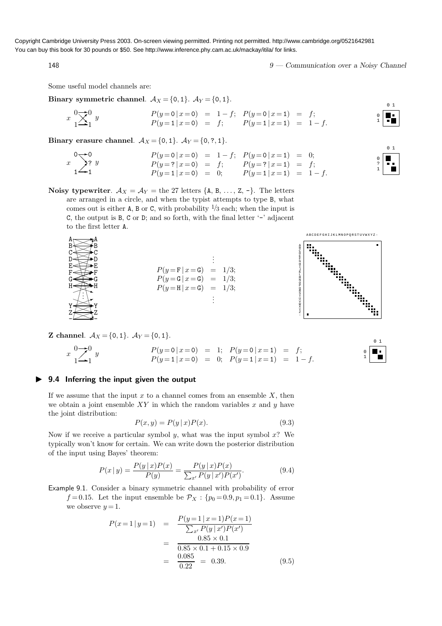148 9 — Communication over a Noisy Channel

0 1

0 1

1 ? 0

0 1

Some useful model channels are:

Binary symmetric channel.  $A_X = \{0, 1\}$ .  $A_Y = \{0, 1\}$ .

$$
x \quad \frac{0}{1} \sum_{1}^{0} y
$$
\n
$$
P(y=0 | x=0) = 1-f; \quad P(y=0 | x=1) = f; \quad P(y=1 | x=1) = 1-f.
$$
\n
$$
P(y=1 | x=0) = f; \quad P(y=1 | x=1) = 1-f.
$$

Binary erasure channel.  $A_X = \{0, 1\}$ .  $A_Y = \{0, ?, 1\}$ .

$$
\begin{array}{ccccccccc}\n0 & & & & & & \\
0 & & & & & \\
x & & & & & \\
1 & & & & & \\
1 & & & & & \\
1 & & & & & \\
1 & & & & & \\
1 & & & & & \\
1 & & & & & \\
1 & & & & & \\
1 & & & & & \\
2 & & & & & \\
2 & & & & & \\
2 & & & & & \\
2 & & & & & & \\
2 & & & & & & \\
2 & & & & & & \\
2 & & & & & & \\
2 & & & & & & \\
2 & & & & & & \\
2 & & & & & & \\
2 & & & & & & \\
2 & & & & & & \\
2 & & & & & & \\
2 & & & & & & \\
2 & & & & & & \\
2 & & & & & & \\
2 & & & & & & & \\
2 & & & & & & & \\
2 & & & & & & & \\
2 & & & & & & & \\
2 & & & & & & & \\
2 & & & & & & & \\
2 & & & & & & & \\
2 & & & & & & & \\
2 & & & & & & & \\
2 & & & & & & & \\
2 & & & & & &
$$

Noisy typewriter.  $\mathcal{A}_X = \mathcal{A}_Y$  = the 27 letters {A, B, ..., Z, -}. The letters are arranged in a circle, and when the typist attempts to type B, what comes out is either A, B or C, with probability  $\frac{1}{3}$  each; when the input is C, the output is B, C or D; and so forth, with the final letter '-' adjacent to the first letter A.





**Z** channel.  $A_X = \{0, 1\}$ .  $A_Y = \{0, 1\}$ .

- Z Y ✄ ✄ ✄ ✄ ✄ ✄ ✄ ✄ ✄  $^{\prime}$ 

❈ ❈ ❈ ❈ ❈ ❈ ∖ ❈ </u>

. . ✶✏

 $A \longrightarrow A$ 

<sup>x</sup> ✲ ✲ ✒ 1 0 1 0 y <sup>P</sup>(<sup>y</sup> <sup>=</sup><sup>0</sup> <sup>|</sup> <sup>x</sup>=0) <sup>=</sup> 1; <sup>P</sup>(<sup>y</sup> <sup>=</sup><sup>1</sup> <sup>|</sup> <sup>x</sup>=0) <sup>=</sup> 0; <sup>P</sup>(<sup>y</sup> <sup>=</sup><sup>0</sup> <sup>|</sup> <sup>x</sup>=1) <sup>=</sup> <sup>f</sup>; <sup>P</sup>(<sup>y</sup> <sup>=</sup><sup>1</sup> <sup>|</sup> <sup>x</sup>=1) <sup>=</sup> <sup>1</sup> <sup>−</sup> f. 1 0

#### ▶ 9.4 Inferring the input given the output

If we assume that the input  $x$  to a channel comes from an ensemble  $X$ , then we obtain a joint ensemble XY in which the random variables x and y have the joint distribution:

$$
P(x, y) = P(y | x)P(x).
$$
\n(9.3)

Now if we receive a particular symbol  $y$ , what was the input symbol  $x$ ? We typically won't know for certain. We can write down the posterior distribution of the input using Bayes' theorem:

$$
P(x \mid y) = \frac{P(y \mid x)P(x)}{P(y)} = \frac{P(y \mid x)P(x)}{\sum_{x'} P(y \mid x')P(x')}.
$$
\n(9.4)

Example 9.1. Consider a binary symmetric channel with probability of error  $f=0.15$ . Let the input ensemble be  $\mathcal{P}_X$  :  $\{p_0=0.9, p_1=0.1\}$ . Assume we observe  $y = 1$ .

$$
P(x=1 | y=1) = \frac{P(y=1 | x=1)P(x=1)}{\sum_{x'} P(y | x')P(x')}
$$
  
= 
$$
\frac{0.85 \times 0.1}{0.85 \times 0.1 + 0.15 \times 0.9}
$$
  
= 
$$
\frac{0.085}{0.22} = 0.39.
$$
 (9.5)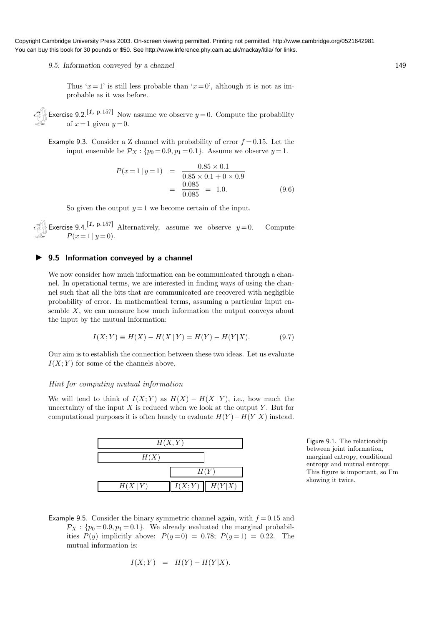#### 9.5: Information conveyed by a channel 149

Thus ' $x=1$ ' is still less probable than ' $x=0$ ', although it is not as improbable as it was before.

Exercise 9.2.<sup>[1, p.157]</sup> Now assume we observe  $y = 0$ . Compute the probability of  $x=1$  given  $y=0$ .

Example 9.3. Consider a Z channel with probability of error  $f = 0.15$ . Let the input ensemble be  $\mathcal{P}_X$ : { $p_0 = 0.9, p_1 = 0.1$ }. Assume we observe  $y = 1$ .

$$
P(x=1 | y=1) = \frac{0.85 \times 0.1}{0.85 \times 0.1 + 0 \times 0.9}
$$
  
=  $\frac{0.085}{0.085} = 1.0.$  (9.6)

So given the output  $y = 1$  we become certain of the input.

Exercise 9.4.<sup>[1, p.157]</sup> Alternatively, assume we observe  $y=0$ . Compute  $P(x=1 | y=0).$ 

#### ▶ 9.5 Information conveyed by a channel

We now consider how much information can be communicated through a channel. In operational terms, we are interested in finding ways of using the channel such that all the bits that are communicated are recovered with negligible probability of error. In mathematical terms, assuming a particular input ensemble  $X$ , we can measure how much information the output conveys about the input by the mutual information:

$$
I(X;Y) \equiv H(X) - H(X | Y) = H(Y) - H(Y | X).
$$
 (9.7)

Our aim is to establish the connection between these two ideas. Let us evaluate  $I(X; Y)$  for some of the channels above.

#### Hint for computing mutual information

We will tend to think of  $I(X; Y)$  as  $H(X) - H(X | Y)$ , i.e., how much the uncertainty of the input  $X$  is reduced when we look at the output  $Y$ . But for computational purposes it is often handy to evaluate  $H(Y) - H(Y | X)$  instead.



Figure 9.1. The relationship between joint information, marginal entropy, conditional entropy and mutual entropy. This figure is important, so I'm showing it twice.

Example 9.5. Consider the binary symmetric channel again, with  $f = 0.15$  and  $\mathcal{P}_X$ : { $p_0 = 0.9, p_1 = 0.1$ }. We already evaluated the marginal probabilities  $P(y)$  implicitly above:  $P(y=0) = 0.78$ ;  $P(y=1) = 0.22$ . The mutual information is:

$$
I(X;Y) = H(Y) - H(Y|X).
$$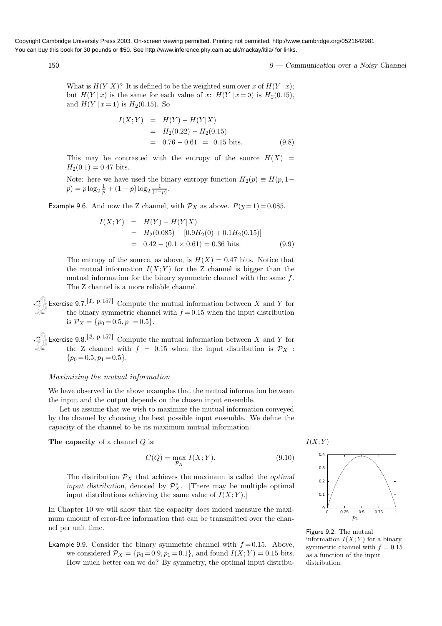150 9 — Communication over a Noisy Channel

What is  $H(Y|X)$ ? It is defined to be the weighted sum over x of  $H(Y|x)$ ; but  $H(Y | x)$  is the same for each value of x:  $H(Y | x=0)$  is  $H_2(0.15)$ , and  $H(Y \mid x=1)$  is  $H_2(0.15)$ . So

$$
I(X;Y) = H(Y) - H(Y|X)
$$
  
=  $H_2(0.22) - H_2(0.15)$   
= 0.76 - 0.61 = 0.15 bits. (9.8)

This may be contrasted with the entropy of the source  $H(X)$  =  $H_2(0.1) = 0.47$  bits.

Note: here we have used the binary entropy function  $H_2(p) \equiv H(p, 1-p)$  $p) = p \log_2 \frac{1}{p} + (1-p) \log_2 \frac{1}{(1-p)}.$ 

Example 9.6. And now the Z channel, with  $P_X$  as above.  $P(y=1)=0.085$ .

$$
I(X;Y) = H(Y) - H(Y|X)
$$
  
= H<sub>2</sub>(0.085) - [0.9H<sub>2</sub>(0) + 0.1H<sub>2</sub>(0.15)]  
= 0.42 - (0.1 × 0.61) = 0.36 bits. (9.9)

The entropy of the source, as above, is  $H(X) = 0.47$  bits. Notice that the mutual information  $I(X; Y)$  for the Z channel is bigger than the mutual information for the binary symmetric channel with the same f. The Z channel is a more reliable channel.

Exercise 9.7.<sup>[1, p.157]</sup> Compute the mutual information between X and Y for the binary symmetric channel with  $f = 0.15$  when the input distribution is  $\mathcal{P}_X = \{p_0 = 0.5, p_1 = 0.5\}.$ 

Exercise 9.8.<sup>[2, p.157]</sup> Compute the mutual information between X and Y for the Z channel with  $f = 0.15$  when the input distribution is  $\mathcal{P}_X$ :  ${p_0 = 0.5, p_1 = 0.5}.$ 

#### Maximizing the mutual information

We have observed in the above examples that the mutual information between the input and the output depends on the chosen input ensemble.

Let us assume that we wish to maximize the mutual information conveyed by the channel by choosing the best possible input ensemble. We define the capacity of the channel to be its maximum mutual information.

The capacity of a channel  $Q$  is:

$$
C(Q) = \max_{\mathcal{P}_X} I(X;Y). \tag{9.10}
$$

The distribution  $\mathcal{P}_X$  that achieves the maximum is called the *optimal* input distribution, denoted by  $\mathcal{P}_X^*$ . [There may be multiple optimal input distributions achieving the same value of  $I(X; Y)$ .

In Chapter 10 we will show that the capacity does indeed measure the maximum amount of error-free information that can be transmitted over the channel per unit time.

Example 9.9. Consider the binary symmetric channel with  $f = 0.15$ . Above, we considered  $\mathcal{P}_X = \{p_0 = 0.9, p_1 = 0.1\}$ , and found  $I(X; Y) = 0.15$  bits. How much better can we do? By symmetry, the optimal input distribu-



Figure 9.2. The mutual information  $I(X; Y)$  for a binary symmetric channel with  $f = 0.15$ as a function of the input distribution.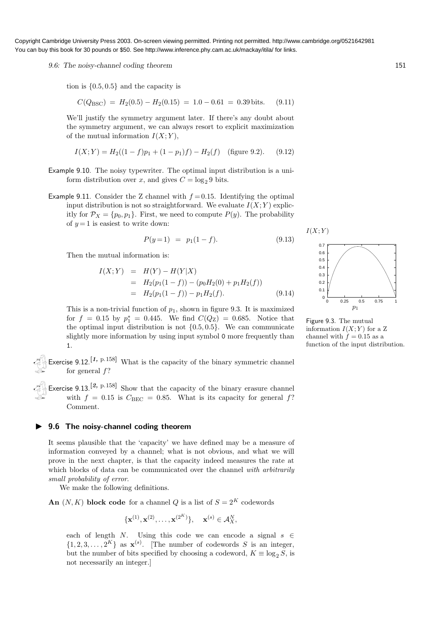9.6: The noisy-channel coding theorem 151

tion is {0.5, 0.5} and the capacity is

$$
C(Q_{BSC}) = H_2(0.5) - H_2(0.15) = 1.0 - 0.61 = 0.39 \text{ bits.}
$$
 (9.11)

We'll justify the symmetry argument later. If there's any doubt about the symmetry argument, we can always resort to explicit maximization of the mutual information  $I(X; Y)$ ,

$$
I(X;Y) = H_2((1-f)p_1 + (1-p_1)f) - H_2(f)
$$
 (figure 9.2). (9.12)

- Example 9.10. The noisy typewriter. The optimal input distribution is a uniform distribution over x, and gives  $C = \log_2 9$  bits.
- Example 9.11. Consider the Z channel with  $f = 0.15$ . Identifying the optimal input distribution is not so straightforward. We evaluate  $I(X; Y)$  explicitly for  $\mathcal{P}_X = \{p_0, p_1\}$ . First, we need to compute  $P(y)$ . The probability of  $y = 1$  is easiest to write down:

$$
P(y=1) = p_1(1-f). \tag{9.13}
$$

Then the mutual information is:

$$
I(X;Y) = H(Y) - H(Y|X)
$$
  
=  $H_2(p_1(1-f)) - (p_0H_2(0) + p_1H_2(f))$   
=  $H_2(p_1(1-f)) - p_1H_2(f)$ . (9.14)

This is a non-trivial function of  $p_1$ , shown in figure 9.3. It is maximized for  $f = 0.15$  by  $p_1^* = 0.445$ . We find  $C(Q_Z) = 0.685$ . Notice that the optimal input distribution is not  $\{0.5, 0.5\}$ . We can communicate slightly more information by using input symbol 0 more frequently than 1.

Exercise 9.12.<sup>[1, p.158]</sup> What is the capacity of the binary symmetric channel for general  $f$ ?

Exercise 9.13.<sup>[2, p.158]</sup> Show that the capacity of the binary erasure channel with  $f = 0.15$  is  $C_{BEC} = 0.85$ . What is its capacity for general f? Comment.

#### ▶ 9.6 The noisy-channel coding theorem

It seems plausible that the 'capacity' we have defined may be a measure of information conveyed by a channel; what is not obvious, and what we will prove in the next chapter, is that the capacity indeed measures the rate at which blocks of data can be communicated over the channel with arbitrarily small probability of error.

We make the following definitions.

An  $(N, K)$  block code for a channel Q is a list of  $S = 2<sup>K</sup>$  codewords

$$
\{ {\bf x}^{(1)}, {\bf x}^{(2)}, \ldots, {\bf x}^{(2^K)} \}, \quad {\bf x}^{(s)} \in \mathcal{A}_X^N,
$$

each of length N. Using this code we can encode a signal  $s \in$  $\{1, 2, 3, \ldots, 2^K\}$  as  $\mathbf{x}^{(s)}$ . [The number of codewords S is an integer, but the number of bits specified by choosing a codeword,  $K \equiv \log_2 S$ , is not necessarily an integer.]



Figure 9.3. The mutual information  $I(X; Y)$  for a Z channel with  $f=0.15$  as a function of the input distribution.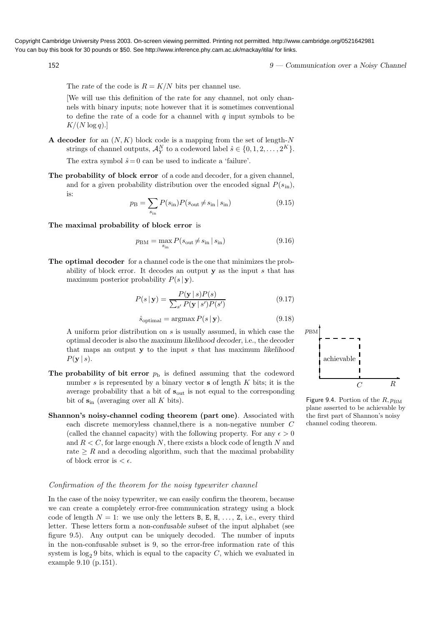152 9 — Communication over a Noisy Channel

The rate of the code is  $R = K/N$  bits per channel use.

[We will use this definition of the rate for any channel, not only channels with binary inputs; note however that it is sometimes conventional to define the rate of a code for a channel with  $q$  input symbols to be  $K/(N \log q).$ 

A decoder for an  $(N, K)$  block code is a mapping from the set of length-N strings of channel outputs,  $\mathcal{A}_Y^N$  to a codeword label  $\hat{s} \in \{0, 1, 2, ..., 2^K\}$ .

The extra symbol  $\hat{s}=0$  can be used to indicate a 'failure'.

The probability of block error of a code and decoder, for a given channel. and for a given probability distribution over the encoded signal  $P(s_{\text{in}})$ , is:

$$
p_{\rm B} = \sum_{s_{\rm in}} P(s_{\rm in}) P(s_{\rm out} \neq s_{\rm in} \mid s_{\rm in}) \tag{9.15}
$$

The maximal probability of block error is

$$
p_{\rm BM} = \max_{s_{\rm in}} P(s_{\rm out} \neq s_{\rm in} \, | \, s_{\rm in}) \tag{9.16}
$$

The optimal decoder for a channel code is the one that minimizes the probability of block error. It decodes an output  $y$  as the input s that has maximum posterior probability  $P(s | y)$ .

$$
P(s \mid \mathbf{y}) = \frac{P(\mathbf{y} \mid s)P(s)}{\sum_{s'} P(\mathbf{y} \mid s')P(s')}
$$
(9.17)

$$
\hat{s}_{\text{optimal}} = \operatorname{argmax} P(s \mid \mathbf{y}).\tag{9.18}
$$

A uniform prior distribution on s is usually assumed, in which case the optimal decoder is also the maximum likelihood decoder, i.e., the decoder that maps an output y to the input s that has maximum likelihood  $P(y | s)$ .

- The probability of bit error  $p<sub>b</sub>$  is defined assuming that the codeword number  $s$  is represented by a binary vector  $s$  of length  $K$  bits; it is the average probability that a bit of  $s_{\text{out}}$  is not equal to the corresponding bit of  $s_{\text{in}}$  (averaging over all K bits).
- Shannon's noisy-channel coding theorem (part one). Associated with each discrete memoryless channel,there is a non-negative number C (called the channel capacity) with the following property. For any  $\epsilon > 0$ and  $R \leq C$ , for large enough N, there exists a block code of length N and rate  $\geq R$  and a decoding algorithm, such that the maximal probability of block error is  $\epsilon$ .

#### Confirmation of the theorem for the noisy typewriter channel

In the case of the noisy typewriter, we can easily confirm the theorem, because we can create a completely error-free communication strategy using a block code of length  $N = 1$ : we use only the letters B, E, H, ..., Z, i.e., every third letter. These letters form a non-confusable subset of the input alphabet (see figure 9.5). Any output can be uniquely decoded. The number of inputs in the non-confusable subset is 9, so the error-free information rate of this system is  $log_2 9$  bits, which is equal to the capacity C, which we evaluated in example 9.10 (p.151).



Figure 9.4. Portion of the  $R, p_{\text{BM}}$ plane asserted to be achievable by the first part of Shannon's noisy channel coding theorem.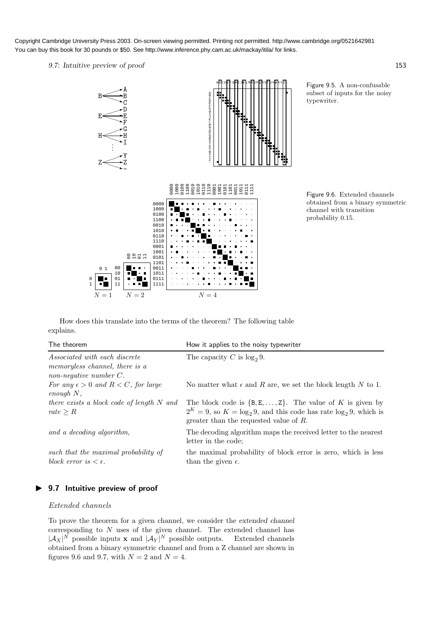9.7: Intuitive preview of proof 153



Figure 9.5. A non-confusable subset of inputs for the noisy typewriter.

Figure 9.6. Extended channels obtained from a binary symmetric channel with transition probability 0.15.

How does this translate into the terms of the theorem? The following table explains.

| The theorem                                                                                         | How it applies to the noisy typewriter                                                                                                                                                              |
|-----------------------------------------------------------------------------------------------------|-----------------------------------------------------------------------------------------------------------------------------------------------------------------------------------------------------|
| <i>Associated with each discrete</i><br>memoryless channel, there is a<br>non-negative number $C$ . | The capacity C is $log_2 9$ .                                                                                                                                                                       |
| For any $\epsilon > 0$ and $R < C$ , for large<br>$enough N$ ,                                      | No matter what $\epsilon$ and R are, we set the block length N to 1.                                                                                                                                |
| there exists a block code of length N and<br>rate $\geq R$                                          | The block code is $\{B, E, \ldots, Z\}$ . The value of K is given by<br>$2^{K} = 9$ , so $K = \log_2 9$ , and this code has rate $\log_2 9$ , which is<br>greater than the requested value of $R$ . |
| and a decoding algorithm,                                                                           | The decoding algorithm maps the received letter to the nearest<br>letter in the code:                                                                                                               |
| such that the maximal probability of<br>block error is $\epsilon$ .                                 | the maximal probability of block error is zero, which is less<br>than the given $\epsilon$ .                                                                                                        |

### ▶ 9.7 Intuitive preview of proof

#### Extended channels

To prove the theorem for a given channel, we consider the extended channel corresponding to N uses of the given channel. The extended channel has  $|\mathcal{A}_X|^N$  possible inputs **x** and  $|\mathcal{A}_Y|^N$  possible outputs. Extended channels obtained from a binary symmetric channel and from a Z channel are shown in figures 9.6 and 9.7, with  $N = 2$  and  $N = 4$ .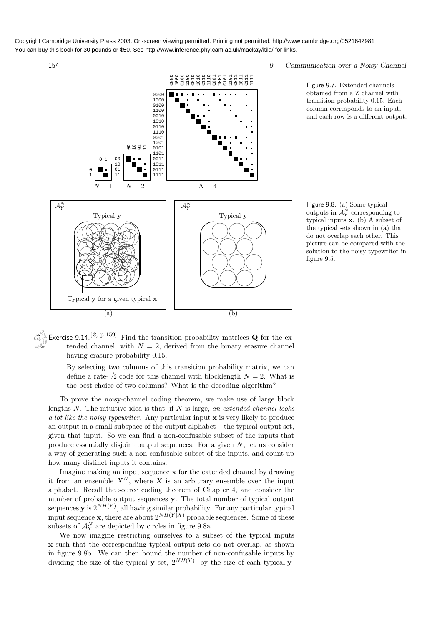

154 9 — Communication over a Noisy Channel

Figure 9.7. Extended channels obtained from a Z channel with transition probability 0.15. Each column corresponds to an input, and each row is a different output.

Figure 9.8. (a) Some typical outputs in  $\mathcal{A}_Y^N$  corresponding to typical inputs x. (b) A subset of the typical sets shown in (a) that do not overlap each other. This picture can be compared with the solution to the noisy typewriter in figure 9.5.

Exercise 9.14.<sup>[2, p.159]</sup> Find the transition probability matrices **Q** for the extended channel, with  $N = 2$ , derived from the binary erasure channel having erasure probability 0.15.

By selecting two columns of this transition probability matrix, we can define a rate- $\frac{1}{2}$  code for this channel with blocklength  $N = 2$ . What is the best choice of two columns? What is the decoding algorithm?

To prove the noisy-channel coding theorem, we make use of large block lengths  $N$ . The intuitive idea is that, if  $N$  is large, an extended channel looks a lot like the noisy typewriter. Any particular input  $\bf{x}$  is very likely to produce an output in a small subspace of the output alphabet – the typical output set, given that input. So we can find a non-confusable subset of the inputs that produce essentially disjoint output sequences. For a given  $N$ , let us consider a way of generating such a non-confusable subset of the inputs, and count up how many distinct inputs it contains.

Imagine making an input sequence x for the extended channel by drawing it from an ensemble  $X^N$ , where X is an arbitrary ensemble over the input alphabet. Recall the source coding theorem of Chapter 4, and consider the number of probable output sequences y. The total number of typical output sequences **y** is  $2^{NH(Y)}$ , all having similar probability. For any particular typical input sequence **x**, there are about  $2^{NH(Y|X)}$  probable sequences. Some of these subsets of  $\mathcal{A}_Y^N$  are depicted by circles in figure 9.8a.

We now imagine restricting ourselves to a subset of the typical inputs x such that the corresponding typical output sets do not overlap, as shown in figure 9.8b. We can then bound the number of non-confusable inputs by dividing the size of the typical **y** set,  $2^{NH(Y)}$ , by the size of each typical-**y**-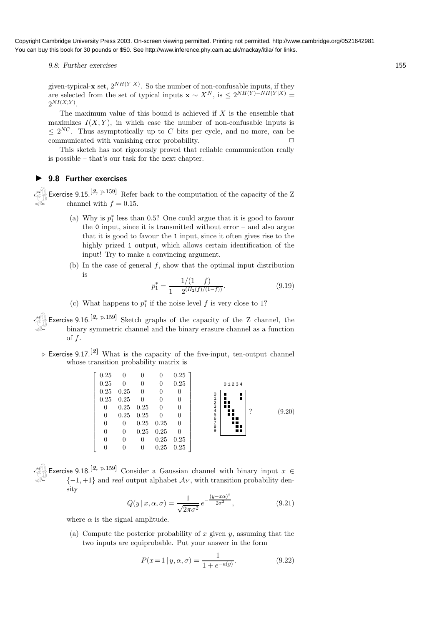9.8: Further exercises 155

given-typical-**x** set,  $2^{NH(Y|X)}$ . So the number of non-confusable inputs, if they are selected from the set of typical inputs  $\mathbf{x} \sim X^N$ , is  $\leq 2^{NH(Y)-NH(Y|X)} =$  $2^{NI(X;Y)}$ .

The maximum value of this bound is achieved if  $X$  is the ensemble that maximizes  $I(X; Y)$ , in which case the number of non-confusable inputs is  $\leq 2^{NC}$ . Thus asymptotically up to C bits per cycle, and no more, can be communicated with vanishing error probability.  $\Box$ 

This sketch has not rigorously proved that reliable communication really is possible – that's our task for the next chapter.

#### ▶ 9.8 Further exercises

Exercise 9.15.<sup>[3, p.159]</sup> Refer back to the computation of the capacity of the Z channel with  $f = 0.15$ .

- (a) Why is  $p_1^*$  less than 0.5? One could argue that it is good to favour the  $\theta$  input, since it is transmitted without error – and also argue that it is good to favour the 1 input, since it often gives rise to the highly prized 1 output, which allows certain identification of the input! Try to make a convincing argument.
- (b) In the case of general  $f$ , show that the optimal input distribution is

$$
p_1^* = \frac{1/(1-f)}{1 + 2^{(H_2(f)/(1-f))}}.\tag{9.19}
$$

(c) What happens to  $p_1^*$  if the noise level  $f$  is very close to 1?

Exercise 9.16.<sup>[2, p.159]</sup> Sketch graphs of the capacity of the Z channel, the binary symmetric channel and the binary erasure channel as a function of f.

 $\triangleright$  Exercise 9.17.<sup>[2]</sup> What is the capacity of the five-input, ten-output channel whose transition probability matrix is



Exercise 9.18.<sup>[2, p.159]</sup> Consider a Gaussian channel with binary input  $x \in$  $\{-1,+1\}$  and *real* output alphabet  $\mathcal{A}_Y$ , with transition probability density

$$
Q(y \mid x, \alpha, \sigma) = \frac{1}{\sqrt{2\pi\sigma^2}} e^{-\frac{(y - x\alpha)^2}{2\sigma^2}}, \tag{9.21}
$$

where  $\alpha$  is the signal amplitude.

(a) Compute the posterior probability of x given  $y$ , assuming that the two inputs are equiprobable. Put your answer in the form

$$
P(x=1|y,\alpha,\sigma) = \frac{1}{1 + e^{-a(y)}}.\t(9.22)
$$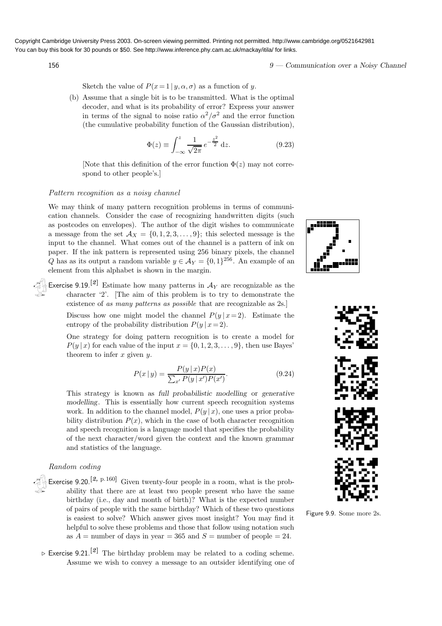156 9 — Communication over a Noisy Channel

Sketch the value of  $P(x=1 | y, \alpha, \sigma)$  as a function of y.

(b) Assume that a single bit is to be transmitted. What is the optimal decoder, and what is its probability of error? Express your answer in terms of the signal to noise ratio  $\alpha^2/\sigma^2$  and the error function (the cumulative probability function of the Gaussian distribution),

$$
\Phi(z) \equiv \int_{-\infty}^{z} \frac{1}{\sqrt{2\pi}} e^{-\frac{z^2}{2}} dz.
$$
\n(9.23)

[Note that this definition of the error function  $\Phi(z)$  may not correspond to other people's.]

#### Pattern recognition as a noisy channel

We may think of many pattern recognition problems in terms of communication channels. Consider the case of recognizing handwritten digits (such as postcodes on envelopes). The author of the digit wishes to communicate a message from the set  $\mathcal{A}_X = \{0, 1, 2, 3, \ldots, 9\}$ ; this selected message is the input to the channel. What comes out of the channel is a pattern of ink on paper. If the ink pattern is represented using 256 binary pixels, the channel Q has as its output a random variable  $y \in \mathcal{A}_Y = \{0, 1\}^{256}$ . An example of an element from this alphabet is shown in the margin.

Exercise 9.19.<sup>[2]</sup> Estimate how many patterns in  $A_Y$  are recognizable as the character '2'. [The aim of this problem is to try to demonstrate the existence of as many patterns as possible that are recognizable as 2s.]

Discuss how one might model the channel  $P(y | x=2)$ . Estimate the entropy of the probability distribution  $P(y | x=2)$ .

One strategy for doing pattern recognition is to create a model for  $P(y | x)$  for each value of the input  $x = \{0, 1, 2, 3, \ldots, 9\}$ , then use Bayes' theorem to infer  $x$  given  $y$ .

$$
P(x \mid y) = \frac{P(y \mid x)P(x)}{\sum_{x'} P(y \mid x')P(x')}.
$$
\n(9.24)

This strategy is known as full probabilistic modelling or generative modelling. This is essentially how current speech recognition systems work. In addition to the channel model,  $P(y | x)$ , one uses a prior probability distribution  $P(x)$ , which in the case of both character recognition and speech recognition is a language model that specifies the probability of the next character/word given the context and the known grammar and statistics of the language.

#### Random coding

- Exercise 9.20.<sup>[2, p.160]</sup> Given twenty-four people in a room, what is the probability that there are at least two people present who have the same birthday (i.e., day and month of birth)? What is the expected number of pairs of people with the same birthday? Which of these two questions is easiest to solve? Which answer gives most insight? You may find it helpful to solve these problems and those that follow using notation such as  $A =$  number of days in year = 365 and  $S =$  number of people = 24.
- $\triangleright$  Exercise 9.21.<sup>[2]</sup> The birthday problem may be related to a coding scheme. Assume we wish to convey a message to an outsider identifying one of





Figure 9.9. Some more 2s.